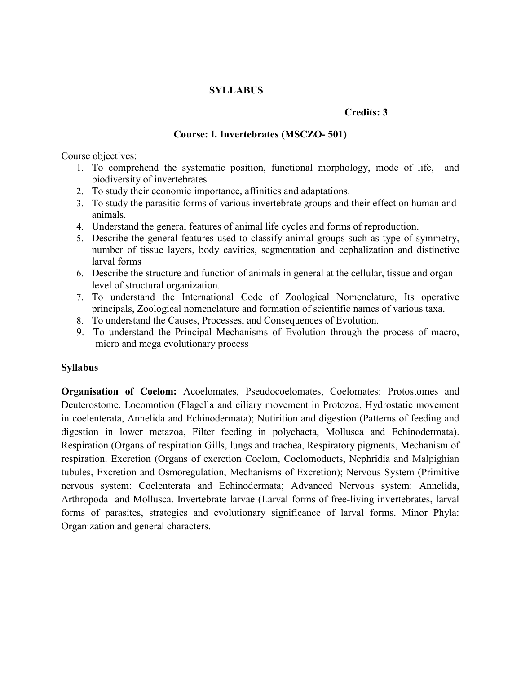## **SYLLABUS**

#### **Credits: 3**

## **Course: I. Invertebrates (MSCZO- 501)**

Course objectives:

- 1. To comprehend the systematic position, functional morphology, mode of life, and biodiversity of invertebrates
- 2. To study their economic importance, affinities and adaptations.
- 3. To study the parasitic forms of various invertebrate groups and their effect on human and animals.
- 4. Understand the general features of animal life cycles and forms of reproduction.
- 5. Describe the general features used to classify animal groups such as type of symmetry, number of tissue layers, body cavities, segmentation and cephalization and distinctive larval forms
- 6. Describe the structure and function of animals in general at the cellular, tissue and organ level of structural organization.
- 7. To understand the International Code of Zoological Nomenclature, Its operative principals, Zoological nomenclature and formation of scientific names of various taxa.
- 8. To understand the Causes, Processes, and Consequences of Evolution.
- 9. To understand the Principal Mechanisms of Evolution through the process of macro, micro and mega evolutionary process

## **Syllabus**

**Organisation of Coelom:** Acoelomates, Pseudocoelomates, Coelomates: Protostomes and Deuterostome. Locomotion (Flagella and ciliary movement in Protozoa, Hydrostatic movement in coelenterata, Annelida and Echinodermata); Nutirition and digestion (Patterns of feeding and digestion in lower metazoa, Filter feeding in polychaeta, Mollusca and Echinodermata). Respiration (Organs of respiration Gills, lungs and trachea, Respiratory pigments, Mechanism of respiration. Excretion (Organs of excretion Coelom, Coelomoducts, Nephridia and Malpighian tubules, Excretion and Osmoregulation, Mechanisms of Excretion); Nervous System (Primitive nervous system: Coelenterata and Echinodermata; Advanced Nervous system: Annelida, Arthropoda and Mollusca. Invertebrate larvae (Larval forms of free-living invertebrates, larval forms of parasites, strategies and evolutionary significance of larval forms. Minor Phyla: Organization and general characters.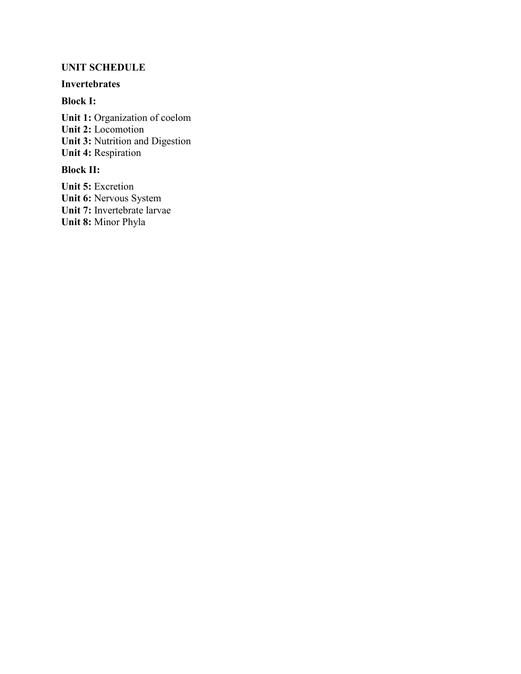# **UNIT SCHEDULE**

# **Invertebrates**

# **Block I:**

**Unit 1:** Organization of coelom **Unit 2:** Locomotion **Unit 3:** Nutrition and Digestion **Unit 4:** Respiration

# **Block II:**

**Unit 5:** Excretion **Unit 6:** Nervous System **Unit 7:** Invertebrate larvae **Unit 8:** Minor Phyla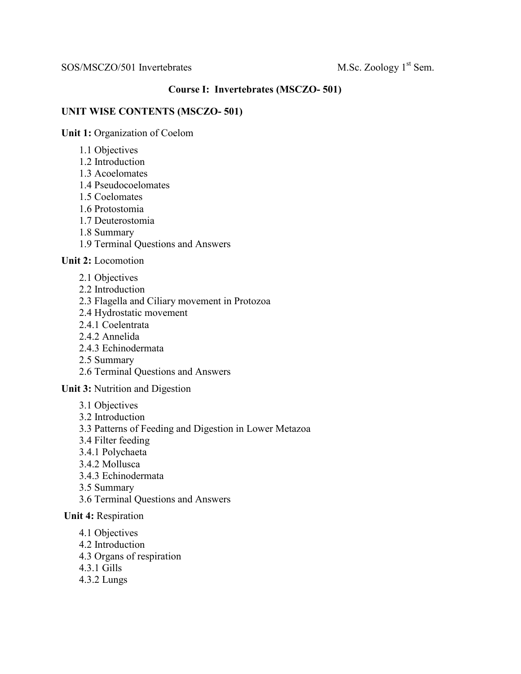# SOS/MSCZO/501 Invertebrates M.Sc. Zoology 1<sup>st</sup> Sem.

# **Course I: Invertebrates (MSCZO- 501)**

## **UNIT WISE CONTENTS (MSCZO- 501)**

**Unit 1:** Organization of Coelom

- 1.1 Objectives
- 1.2 Introduction
- 1.3 Acoelomates
- 1.4 Pseudocoelomates
- 1.5 Coelomates
- 1.6 Protostomia
- 1.7 Deuterostomia
- 1.8 Summary
- 1.9 Terminal Questions and Answers

**Unit 2:** Locomotion

- 2.1 Objectives
- 2.2 Introduction
- 2.3 Flagella and Ciliary movement in Protozoa
- 2.4 Hydrostatic movement
- 2.4.1 Coelentrata
- 2.4.2 Annelida
- 2.4.3 Echinodermata
- 2.5 Summary
- 2.6 Terminal Questions and Answers

## **Unit 3:** Nutrition and Digestion

- 3.1 Objectives
- 3.2 Introduction
- 3.3 Patterns of Feeding and Digestion in Lower Metazoa
- 3.4 Filter feeding
- 3.4.1 Polychaeta
- 3.4.2 Mollusca
- 3.4.3 Echinodermata
- 3.5 Summary
- 3.6 Terminal Questions and Answers

## **Unit 4:** Respiration

- 4.1 Objectives
- 4.2 Introduction
- 4.3 Organs of respiration
- 4.3.1 Gills
- 4.3.2 Lungs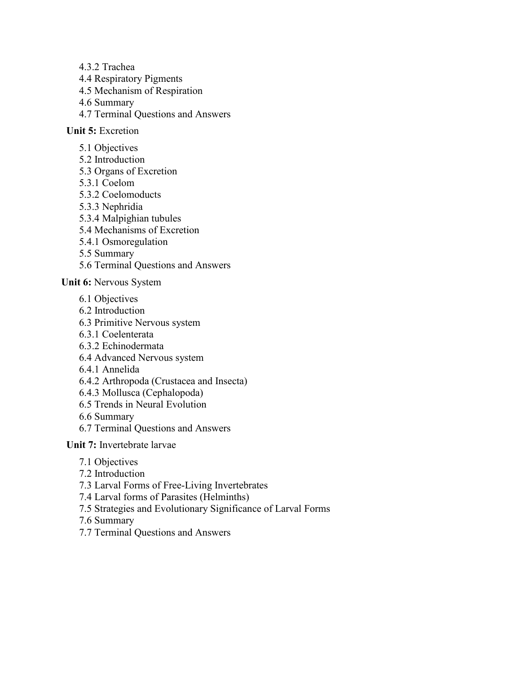- 4.3.2 Trachea
- 4.4 Respiratory Pigments
- 4.5 Mechanism of Respiration
- 4.6 Summary
- 4.7 Terminal Questions and Answers

## **Unit 5:** Excretion

- 5.1 Objectives
- 5.2 Introduction
- 5.3 Organs of Excretion
- 5.3.1 Coelom
- 5.3.2 Coelomoducts
- 5.3.3 Nephridia
- 5.3.4 Malpighian tubules
- 5.4 Mechanisms of Excretion
- 5.4.1 Osmoregulation
- 5.5 Summary
- 5.6 Terminal Questions and Answers

**Unit 6:** Nervous System

- 6.1 Objectives
- 6.2 Introduction
- 6.3 Primitive Nervous system
- 6.3.1 Coelenterata
- 6.3.2 Echinodermata
- 6.4 Advanced Nervous system
- 6.4.1 Annelida
- 6.4.2 Arthropoda (Crustacea and Insecta)
- 6.4.3 Mollusca (Cephalopoda)
- 6.5 Trends in Neural Evolution
- 6.6 Summary
- 6.7 Terminal Questions and Answers
- **Unit 7:** Invertebrate larvae
	- 7.1 Objectives
	- 7.2 Introduction
	- 7.3 Larval Forms of Free-Living Invertebrates
	- 7.4 Larval forms of Parasites (Helminths)
	- 7.5 Strategies and Evolutionary Significance of Larval Forms
	- 7.6 Summary
	- 7.7 Terminal Questions and Answers